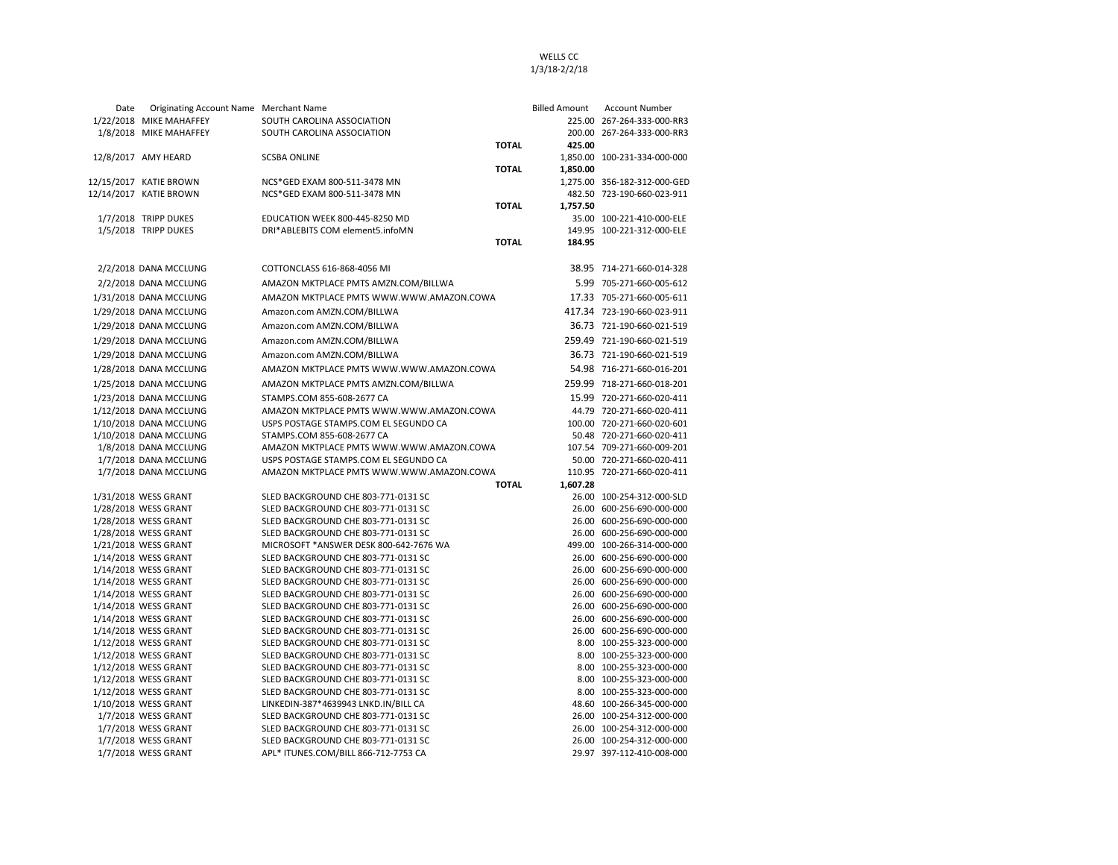| Date | Originating Account Name Merchant Name           |                                                              | Billed Amount            | <b>Account Number</b>                                      |
|------|--------------------------------------------------|--------------------------------------------------------------|--------------------------|------------------------------------------------------------|
|      | 1/22/2018 MIKE MAHAFFEY                          | SOUTH CAROLINA ASSOCIATION                                   |                          | 225.00 267-264-333-000-RR3                                 |
|      | 1/8/2018 MIKE MAHAFFEY                           | SOUTH CAROLINA ASSOCIATION                                   |                          | 200.00 267-264-333-000-RR3                                 |
|      |                                                  |                                                              | <b>TOTAL</b><br>425.00   |                                                            |
|      | 12/8/2017 AMY HEARD                              | <b>SCSBA ONLINE</b>                                          |                          | 1,850.00 100-231-334-000-000                               |
|      |                                                  |                                                              | <b>TOTAL</b><br>1,850.00 |                                                            |
|      | 12/15/2017 KATIE BROWN<br>12/14/2017 KATIE BROWN | NCS*GED EXAM 800-511-3478 MN<br>NCS*GED EXAM 800-511-3478 MN |                          | 1,275.00 356-182-312-000-GED<br>482.50 723-190-660-023-911 |
|      |                                                  |                                                              | <b>TOTAL</b><br>1,757.50 |                                                            |
|      | 1/7/2018 TRIPP DUKES                             | EDUCATION WEEK 800-445-8250 MD                               |                          | 35.00 100-221-410-000-ELE                                  |
|      | 1/5/2018 TRIPP DUKES                             | DRI*ABLEBITS COM element5.infoMN                             |                          | 149.95 100-221-312-000-ELE                                 |
|      |                                                  |                                                              | <b>TOTAL</b><br>184.95   |                                                            |
|      |                                                  |                                                              |                          |                                                            |
|      | 2/2/2018 DANA MCCLUNG                            | COTTONCLASS 616-868-4056 MI                                  |                          | 38.95 714-271-660-014-328                                  |
|      | 2/2/2018 DANA MCCLUNG                            | AMAZON MKTPLACE PMTS AMZN.COM/BILLWA                         |                          | 5.99 705-271-660-005-612                                   |
|      | 1/31/2018 DANA MCCLUNG                           | AMAZON MKTPLACE PMTS WWW.WWW.AMAZON.COWA                     |                          | 17.33 705-271-660-005-611                                  |
|      | 1/29/2018 DANA MCCLUNG                           | Amazon.com AMZN.COM/BILLWA                                   |                          | 417.34 723-190-660-023-911                                 |
|      | 1/29/2018 DANA MCCLUNG                           | Amazon.com AMZN.COM/BILLWA                                   |                          | 36.73 721-190-660-021-519                                  |
|      | 1/29/2018 DANA MCCLUNG                           | Amazon.com AMZN.COM/BILLWA                                   |                          | 259.49 721-190-660-021-519                                 |
|      | 1/29/2018 DANA MCCLUNG                           | Amazon.com AMZN.COM/BILLWA                                   |                          | 36.73 721-190-660-021-519                                  |
|      | 1/28/2018 DANA MCCLUNG                           | AMAZON MKTPLACE PMTS WWW.WWW.AMAZON.COWA                     |                          | 54.98 716-271-660-016-201                                  |
|      | 1/25/2018 DANA MCCLUNG                           | AMAZON MKTPLACE PMTS AMZN.COM/BILLWA                         |                          | 259.99 718-271-660-018-201                                 |
|      | 1/23/2018 DANA MCCLUNG                           | STAMPS.COM 855-608-2677 CA                                   |                          | 15.99 720-271-660-020-411                                  |
|      | 1/12/2018 DANA MCCLUNG                           | AMAZON MKTPLACE PMTS WWW.WWW.AMAZON.COWA                     |                          | 44.79 720-271-660-020-411                                  |
|      | 1/10/2018 DANA MCCLUNG                           | USPS POSTAGE STAMPS.COM EL SEGUNDO CA                        |                          | 100.00 720-271-660-020-601                                 |
|      | 1/10/2018 DANA MCCLUNG                           | STAMPS.COM 855-608-2677 CA                                   |                          | 50.48 720-271-660-020-411                                  |
|      | 1/8/2018 DANA MCCLUNG                            | AMAZON MKTPLACE PMTS WWW.WWW.AMAZON.COWA                     |                          | 107.54 709-271-660-009-201                                 |
|      | 1/7/2018 DANA MCCLUNG                            | USPS POSTAGE STAMPS.COM EL SEGUNDO CA                        |                          | 50.00 720-271-660-020-411                                  |
|      | 1/7/2018 DANA MCCLUNG                            | AMAZON MKTPLACE PMTS WWW.WWW.AMAZON.COWA                     |                          | 110.95 720-271-660-020-411                                 |
|      |                                                  |                                                              | <b>TOTAL</b><br>1,607.28 |                                                            |
|      | 1/31/2018 WESS GRANT                             | SLED BACKGROUND CHE 803-771-0131 SC                          |                          | 26.00 100-254-312-000-SLD                                  |
|      | 1/28/2018 WESS GRANT                             | SLED BACKGROUND CHE 803-771-0131 SC                          |                          | 26.00 600-256-690-000-000                                  |
|      | 1/28/2018 WESS GRANT                             | SLED BACKGROUND CHE 803-771-0131 SC                          |                          | 26.00 600-256-690-000-000                                  |
|      | 1/28/2018 WESS GRANT                             | SLED BACKGROUND CHE 803-771-0131 SC                          |                          | 26.00 600-256-690-000-000                                  |
|      | 1/21/2018 WESS GRANT                             | MICROSOFT * ANSWER DESK 800-642-7676 WA                      |                          | 499.00 100-266-314-000-000                                 |
|      | 1/14/2018 WESS GRANT                             | SLED BACKGROUND CHE 803-771-0131 SC                          |                          | 26.00 600-256-690-000-000                                  |
|      | 1/14/2018 WESS GRANT                             | SLED BACKGROUND CHE 803-771-0131 SC                          |                          | 26.00 600-256-690-000-000                                  |
|      | 1/14/2018 WESS GRANT                             | SLED BACKGROUND CHE 803-771-0131 SC                          |                          | 26.00 600-256-690-000-000                                  |
|      | 1/14/2018 WESS GRANT                             | SLED BACKGROUND CHE 803-771-0131 SC                          |                          | 26.00 600-256-690-000-000                                  |
|      | 1/14/2018 WESS GRANT                             | SLED BACKGROUND CHE 803-771-0131 SC                          |                          | 26.00 600-256-690-000-000                                  |

1/14/2018 WESS GRANT SLED BACKGROUND CHE 803-771-0131 SC 26.00 600-256-690-000-000 1/14/2018 WESS GRANT SLED BACKGROUND CHE 803-771-0131 SC 26.00 600-256-690-000-000 1/12/2018 WESS GRANT SLED BACKGROUND CHE 803-771-0131 SC 8.00 8.00 100-255-323-000-000 1/12/2018 WESS GRANT SLED BACKGROUND CHE 803-771-0131 SC 8.00 100-255-323-000-000 1/12/2018 WESS GRANT SLED BACKGROUND CHE 803-771-0131 SC 800 800 100-255-323-000-000 1/12/2018 WESS GRANT SLED BACKGROUND CHE 803-771-0131 SC 8.00 100-255-323-000-000 1/12/2018 WESS GRANT SLED BACKGROUND CHE 803-771-0131 SC 8.00 100-255-323-000-000 1/10/2018 WESS GRANT LINKEDIN-387\*4639943 LNKD.IN/BILL CA 48.60 100-266-345-000-000 1/7/2018 WESS GRANT SLED BACKGROUND CHE 803-771-0131 SC 26.00 100-254-312-000-000 1/7/2018 WESS GRANT SLED BACKGROUND CHE 803-771-0131 SC 26.00 26.00 100-254-312-000-000<br>1/7/2018 WESS GRANT SLED BACKGROUND CHE 803-771-0131 SC 26.00 100-254-312-000-000

1/7/2018 WESS GRANT APL\* ITUNES.COM/BILL 866-712-7753 CA 29.97 397-112-410-008-000

SLED BACKGROUND CHE 803-771-0131 SC

## WELLS CC

1/3/18-2/2/18